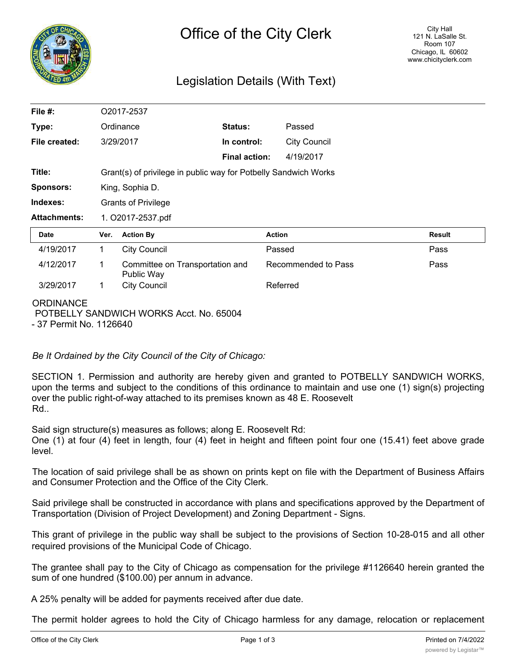

# Legislation Details (With Text)

| File #:             | O2017-2537                                                      |                                               |                      |                     |               |
|---------------------|-----------------------------------------------------------------|-----------------------------------------------|----------------------|---------------------|---------------|
| Type:               | Ordinance                                                       |                                               | Status:              | Passed              |               |
| File created:       |                                                                 | 3/29/2017                                     | In control:          | <b>City Council</b> |               |
|                     |                                                                 |                                               | <b>Final action:</b> | 4/19/2017           |               |
| Title:              | Grant(s) of privilege in public way for Potbelly Sandwich Works |                                               |                      |                     |               |
| <b>Sponsors:</b>    | King, Sophia D.                                                 |                                               |                      |                     |               |
| Indexes:            | <b>Grants of Privilege</b>                                      |                                               |                      |                     |               |
| <b>Attachments:</b> | 1. O2017-2537.pdf                                               |                                               |                      |                     |               |
| <b>Date</b>         | Ver.                                                            | <b>Action By</b>                              |                      | <b>Action</b>       | <b>Result</b> |
| 4/19/2017           | 1                                                               | <b>City Council</b>                           |                      | Passed              | Pass          |
| 4/12/2017           | 1                                                               | Committee on Transportation and<br>Public Way |                      | Recommended to Pass | Pass          |
| 3/29/2017           | 1                                                               | <b>City Council</b>                           |                      | Referred            |               |
| <b>ORDINANCE</b>    |                                                                 |                                               |                      |                     |               |

POTBELLY SANDWICH WORKS Acct. No. 65004 - 37 Permit No. 1126640

*Be It Ordained by the City Council of the City of Chicago:*

SECTION 1. Permission and authority are hereby given and granted to POTBELLY SANDWICH WORKS, upon the terms and subject to the conditions of this ordinance to maintain and use one (1) sign(s) projecting over the public right-of-way attached to its premises known as 48 E. Roosevelt Rd..

Said sign structure(s) measures as follows; along E. Roosevelt Rd:

One (1) at four (4) feet in length, four (4) feet in height and fifteen point four one (15.41) feet above grade level.

The location of said privilege shall be as shown on prints kept on file with the Department of Business Affairs and Consumer Protection and the Office of the City Clerk.

Said privilege shall be constructed in accordance with plans and specifications approved by the Department of Transportation (Division of Project Development) and Zoning Department - Signs.

This grant of privilege in the public way shall be subject to the provisions of Section 10-28-015 and all other required provisions of the Municipal Code of Chicago.

The grantee shall pay to the City of Chicago as compensation for the privilege #1126640 herein granted the sum of one hundred (\$100.00) per annum in advance.

A 25% penalty will be added for payments received after due date.

The permit holder agrees to hold the City of Chicago harmless for any damage, relocation or replacement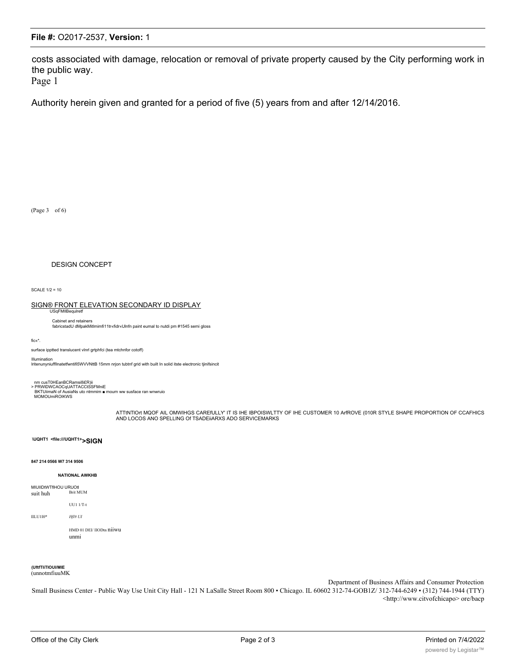## File #: O2017-2537, Version: 1

costs associated with damage, relocation or removal of private property caused by the City performing work in the public way.

Page 1

Authority herein given and granted for a period of five (5) years from and after 12/14/2016.

(Page 3 of 6)

### **DESIGN CONCEPT**

SCALE  $1/2 = 10$ 

### SIGN® FRONT ELEVATION SECONDARY ID DISPLAY

Cabinet and retainers

fabricstadU dMpakMitlmimfi11tr«fidr«Ulnfn paint eumal to nutdi pm #1545 semi gloss

fic«\*

surface ipptted translucent vlnrl grtphfci (tea mtchnfor cotoff)

#### Illumination

lritenunyniuffllnatetfwntifi5WVVNttB 15mm nrjon tubtnf grid with built In solid itste electronic tjinifsincit

nm cusT0HEanBCRamsi8i£R)ii<br>> PRWIDWCAOCqUATTACCtSSFMniE<br>BKTUliimaN of AusiaNs uto ntmmim ■ mourn ww susface ran wnwruio<br>MOMOUmiROIKWS

ATTINTION MOOF AIL OMWIHGS CAREfULLY' IT IS IHE IBPOISWLTTY OF IHE CUSTOMER 10 ArROVE (010R STYLE SHAPE PROPORTION OF CCAFHICS AND LOCOS ANO SPELLING OF TSADEIIARXS ADO SERVICEMARKS

#### \UQHT1 <file:///UQHT1>>SIGN

#### 847 214 0566 W7 314 9506

#### **NATIONAL AWKHB**

MIUIIDtWTfIHOU URUOtl Brit MUM suit huh

**UU1 1/T-t** 

#### $ILLU110*$  $Hf# UI$

HMD 01 DEI/IIODtn niiwu unmi

### (UftfTIiTIOUI/MIE

(unnotmfiuuMK

Department of Business Affairs and Consumer Protection

Small Business Center - Public Way Use Unit City Hall - 121 N LaSalle Street Room 800 · Chicago. IL 60602 312-74-GOB1Z/312-744-6249 · (312) 744-1944 (TTY) <http://www.citvofchicapo> ore/bacp